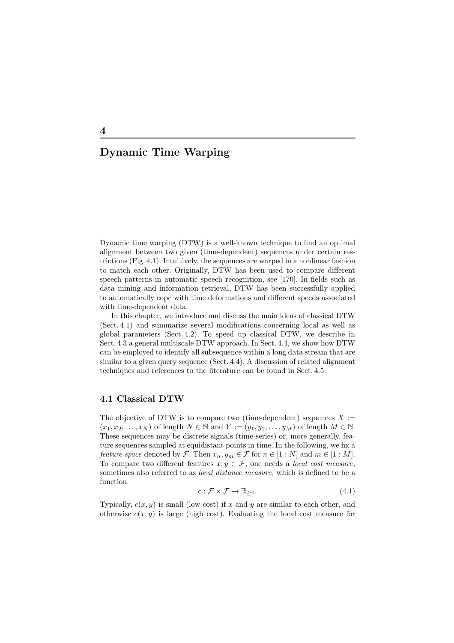Dynamic time warping (DTW) is a well-known technique to find an optimal alignment between two given (time-dependent) sequences under certain restrictions (Fig. 4.1). Intuitively, the sequences are warped in a nonlinear fashion to match each other. Originally, DTW has been used to compare different speech patterns in automatic speech recognition, see [170]. In fields such as data mining and information retrieval, DTW has been successfully applied to automatically cope with time deformations and different speeds associated with time-dependent data.

In this chapter, we introduce and discuss the main ideas of classical DTW (Sect. 4.1) and summarize several modifications concerning local as well as global parameters (Sect. 4.2). To speed up classical DTW, we describe in Sect. 4.3 a general multiscale DTW approach. In Sect. 4.4, we show how DTW can be employed to identify all subsequence within a long data stream that are similar to a given query sequence (Sect. 4.4). A discussion of related alignment techniques and references to the literature can be found in Sect. 4.5.

# **4.1 Classical DTW**

The objective of DTW is to compare two (time-dependent) sequences  $X :=$  $(x_1, x_2,...,x_N)$  of length  $N \in \mathbb{N}$  and  $Y := (y_1, y_2,...,y_M)$  of length  $M \in \mathbb{N}$ . These sequences may be discrete signals (time-series) or, more generally, feature sequences sampled at equidistant points in time. In the following, we fix a *feature space* denoted by  $\mathcal{F}$ . Then  $x_n, y_m \in \mathcal{F}$  for  $n \in [1:N]$  and  $m \in [1:M]$ . To compare two different features  $x, y \in \mathcal{F}$ , one needs a *local cost measure*, sometimes also referred to as *local distance measure*, which is defined to be a function

$$
c: \mathcal{F} \times \mathcal{F} \to \mathbb{R}_{\geq 0}.
$$
\n
$$
(4.1)
$$

Typically,  $c(x, y)$  is small (low cost) if x and y are similar to each other, and otherwise  $c(x, y)$  is large (high cost). Evaluating the local cost measure for

**4**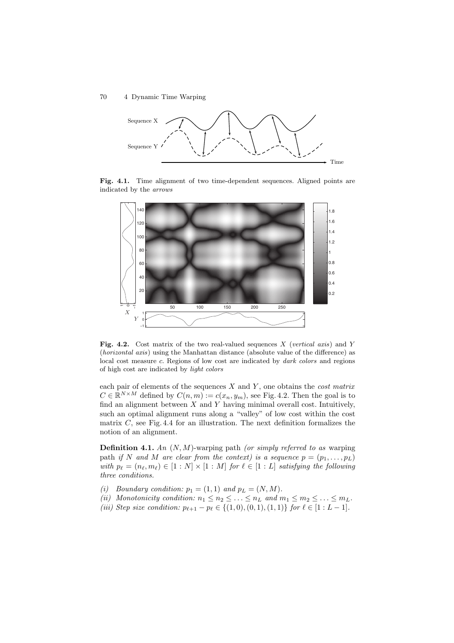

**Fig. 4.1.** Time alignment of two time-dependent sequences. Aligned points are indicated by the *arrows*



**Fig. 4.2.** Cost matrix of the two real-valued sequences X (*vertical axis*) and Y (*horizontal axis*) using the Manhattan distance (absolute value of the difference) as local cost measure c. Regions of low cost are indicated by *dark colors* and regions of high cost are indicated by *light colors*

each pair of elements of the sequences X and Y , one obtains the *cost matrix*  $C \in \mathbb{R}^{N \times M}$  defined by  $C(n, m) := c(x_n, y_m)$ , see Fig. 4.2. Then the goal is to find an alignment between  $X$  and  $Y$  having minimal overall cost. Intuitively, such an optimal alignment runs along a "valley" of low cost within the cost matrix  $C$ , see Fig. 4.4 for an illustration. The next definition formalizes the notion of an alignment.

**Definition 4.1.** *An* (N,M)-warping path *(or simply referred to as* warping path *if* N and M are clear from the context) is a sequence  $p = (p_1, \ldots, p_L)$ with  $p_{\ell} = (n_{\ell}, m_{\ell}) \in [1:N] \times [1:M]$  *for*  $\ell \in [1:L]$  *satisfying the following three conditions.*

- *(i) Boundary condition:*  $p_1 = (1, 1)$  *and*  $p_L = (N, M)$ *.*
- *(ii)* Monotonicity condition:  $n_1 \leq n_2 \leq \ldots \leq n_L$  and  $m_1 \leq m_2 \leq \ldots \leq m_L$ .
- *(iii) Step size condition:*  $p_{\ell+1} p_{\ell} \in \{(1,0), (0,1), (1,1)\}$  *for*  $\ell \in [1:L-1]$ *.*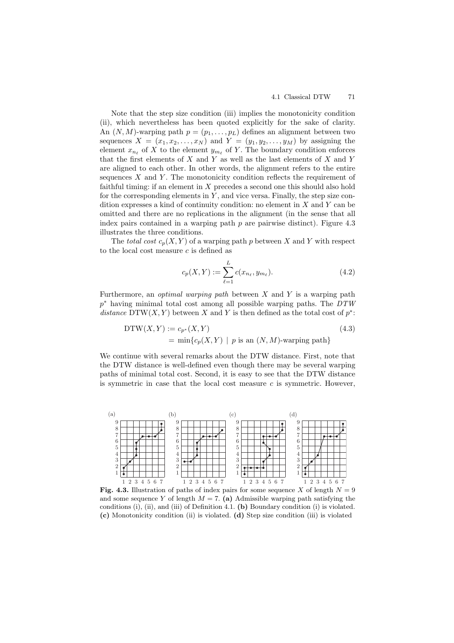Note that the step size condition (iii) implies the monotonicity condition (ii), which nevertheless has been quoted explicitly for the sake of clarity. An  $(N, M)$ -warping path  $p = (p_1, \ldots, p_L)$  defines an alignment between two sequences  $X = (x_1, x_2, \ldots, x_N)$  and  $Y = (y_1, y_2, \ldots, y_M)$  by assigning the element  $x_{n_\ell}$  of X to the element  $y_{m_\ell}$  of Y. The boundary condition enforces that the first elements of  $X$  and  $Y$  as well as the last elements of  $X$  and  $Y$ are aligned to each other. In other words, the alignment refers to the entire sequences  $X$  and  $Y$ . The monotonicity condition reflects the requirement of faithful timing: if an element in  $X$  precedes a second one this should also hold for the corresponding elements in  $Y$ , and vice versa. Finally, the step size condition expresses a kind of continuity condition: no element in  $X$  and  $Y$  can be omitted and there are no replications in the alignment (in the sense that all index pairs contained in a warping path  $p$  are pairwise distinct). Figure 4.3 illustrates the three conditions.

The *total cost*  $c_p(X, Y)$  of a warping path p between X and Y with respect to the local cost measure  $c$  is defined as

$$
c_p(X, Y) := \sum_{\ell=1}^{L} c(x_{n_{\ell}}, y_{m_{\ell}}).
$$
 (4.2)

Furthermore, an *optimal warping path* between X and Y is a warping path p<sup>∗</sup> having minimal total cost among all possible warping paths. The *DTW distance* DTW(X, Y) between X and Y is then defined as the total cost of  $p^*$ :

$$
DTW(X, Y) := c_{p^*}(X, Y)
$$
  
= min{ $c_p(X, Y) | p$  is an  $(N, M)$ -warping path} (4.3)

We continue with several remarks about the DTW distance. First, note that the DTW distance is well-defined even though there may be several warping paths of minimal total cost. Second, it is easy to see that the DTW distance is symmetric in case that the local cost measure  $c$  is symmetric. However,



**Fig. 4.3.** Illustration of paths of index pairs for some sequence X of length  $N = 9$ and some sequence Y of length  $M = 7$ . (a) Admissible warping path satisfying the conditions (i), (ii), and (iii) of Definition 4.1. **(b)** Boundary condition (i) is violated. **(c)** Monotonicity condition (ii) is violated. **(d)** Step size condition (iii) is violated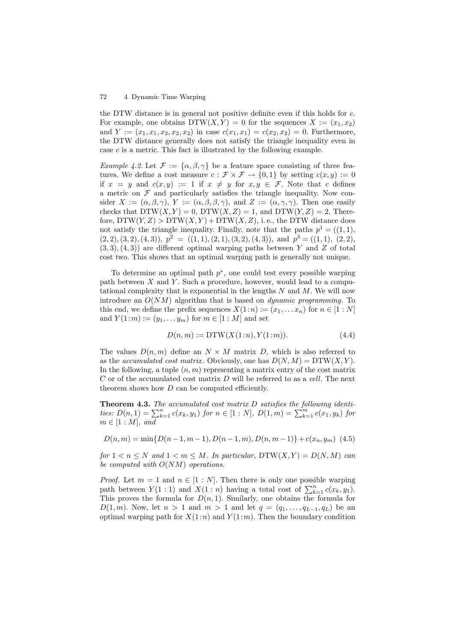the DTW distance is in general not positive definite even if this holds for c. For example, one obtains  $DTW(X, Y) = 0$  for the sequences  $X := (x_1, x_2)$ and  $Y := (x_1, x_1, x_2, x_2, x_2)$  in case  $c(x_1, x_1) = c(x_2, x_2) = 0$ . Furthermore, the DTW distance generally does not satisfy the triangle inequality even in case c is a metric. This fact is illustrated by the following example.

*Example 4.2.* Let  $\mathcal{F} := {\alpha, \beta, \gamma}$  be a feature space consisting of three features. We define a cost measure  $c : \mathcal{F} \times \mathcal{F} \to \{0,1\}$  by setting  $c(x, y) := 0$ if  $x = y$  and  $c(x, y) := 1$  if  $x \neq y$  for  $x, y \in \mathcal{F}$ . Note that c defines a metric on  $\mathcal F$  and particularly satisfies the triangle inequality. Now consider  $X := (\alpha, \beta, \gamma), Y := (\alpha, \beta, \beta, \gamma),$  and  $Z := (\alpha, \gamma, \gamma)$ . Then one easily checks that  $DTW(X, Y) = 0$ ,  $DTW(X, Z) = 1$ , and  $DTW(Y, Z) = 2$ . Therefore,  $DTW(Y, Z) > DTW(X, Y) + DTW(X, Z)$ , i.e., the DTW distance does not satisfy the triangle inequality. Finally, note that the paths  $p^1 = ((1, 1),$  $(2, 2), (3, 2), (4, 3), p<sup>2</sup> = ((1, 1), (2, 1), (3, 2), (4, 3)),$  and  $p<sup>3</sup> = ((1, 1), (2, 2),$  $(3, 3), (4, 3)$  are different optimal warping paths between Y and Z of total cost two. This shows that an optimal warping path is generally not unique.

To determine an optimal path  $p^*$ , one could test every possible warping path between  $X$  and  $Y$ . Such a procedure, however, would lead to a computational complexity that is exponential in the lengths  $N$  and  $M$ . We will now introduce an O(NM) algorithm that is based on *dynamic programming*. To this end, we define the prefix sequences  $X(1:n) := (x_1, \ldots, x_n)$  for  $n \in [1:N]$ and  $Y(1:m) := (y_1, \ldots y_m)$  for  $m \in [1:M]$  and set

$$
D(n, m) := \text{DTW}(X(1:n), Y(1:m)).\tag{4.4}
$$

The values  $D(n, m)$  define an  $N \times M$  matrix D, which is also referred to as the *accumulated cost matrix*. Obviously, one has  $D(N, M) = DTW(X, Y)$ . In the following, a tuple  $(n, m)$  representing a matrix entry of the cost matrix C or of the accumulated cost matrix D will be referred to as a *cell*. The next theorem shows how  $D$  can be computed efficiently.

**Theorem 4.3.** *The accumulated cost matrix* D *satisfies the following identities:*  $D(n,1) = \sum_{k=1}^{n} c(x_k, y_1)$  *for*  $n \in [1:N]$ *,*  $D(1,m) = \sum_{k=1}^{m} c(x_1, y_k)$  *for*  $m \in [1:M]$ *, and* 

$$
D(n, m) = \min\{D(n-1, m-1), D(n-1, m), D(n, m-1)\} + c(x_n, y_m)
$$
 (4.5)

*for*  $1 < n \leq N$  *and*  $1 < m \leq M$ *. In particular,*  $DTW(X, Y) = D(N, M)$  *can be computed with* O(NM) *operations.*

*Proof.* Let  $m = 1$  and  $n \in [1 : N]$ . Then there is only one possible warping path between  $Y(1:1)$  and  $X(1:n)$  having a total cost of  $\sum_{k=1}^{n} c(x_k, y_1)$ . This proves the formula for  $D(n, 1)$ . Similarly, one obtains the formula for D(1, m). Now, let  $n > 1$  and  $m > 1$  and let  $q = (q_1, \ldots, q_{L-1}, q_L)$  be an optimal warping path for  $X(1:n)$  and  $Y(1:m)$ . Then the boundary condition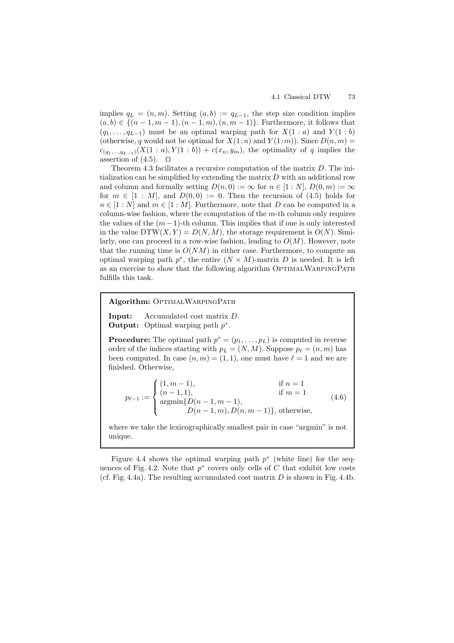implies  $q_L = (n, m)$ . Setting  $(a, b) := q_{L-1}$ , the step size condition implies  $(a, b) \in \{(n-1, m-1), (n-1, m), (n, m-1)\}.$  Furthermore, it follows that  $(q_1, \ldots, q_{L-1})$  must be an optimal warping path for  $X(1 : a)$  and  $Y(1 : b)$ (otherwise, q would not be optimal for  $X(1:n)$  and  $Y(1:m)$ ). Since  $D(n, m)$  =  $c_{(q_1,...,q_{L-1})}(X(1 : a), Y(1 : b)) + c(x_n, y_m)$ , the optimality of q implies the assertion of  $(4.5)$ .  $\Box$ 

Theorem 4.3 facilitates a recursive computation of the matrix D. The initialization can be simplified by extending the matrix  $D$  with an additional row and column and formally setting  $D(n, 0) := \infty$  for  $n \in [1:N], D(0, m) := \infty$ for  $m \in [1 : M]$ , and  $D(0,0) := 0$ . Then the recursion of (4.5) holds for  $n \in [1:N]$  and  $m \in [1:M]$ . Furthermore, note that D can be computed in a column-wise fashion, where the computation of the  $m$ -th column only requires the values of the  $(m-1)$ -th column. This implies that if one is only interested in the value  $DTW(X, Y) = D(N, M)$ , the storage requirement is  $O(N)$ . Similarly, one can proceed in a row-wise fashion, leading to  $O(M)$ . However, note that the running time is  $O(NM)$  in either case. Furthermore, to compute an optimal warping path  $p^*$ , the entire  $(N \times M)$ -matrix D is needed. It is left as an exercise to show that the following algorithm OPTIMALWARPINGPATH fulfills this task.

**Algorithm: OPTIMALWARPINGPATH** 

**Input:** Accumulated cost matrix D. **Output:** Optimal warping path p∗.

**Procedure:** The optimal path  $p^* = (p_1, \ldots, p_L)$  is computed in reverse order of the indices starting with  $p_L = (N, M)$ . Suppose  $p_\ell = (n, m)$  has been computed. In case  $(n, m) = (1, 1)$ , one must have  $\ell = 1$  and we are finished. Otherwise,

$$
p_{\ell-1} := \begin{cases} (1, m-1), & \text{if } n = 1\\ (n-1, 1), & \text{if } m = 1\\ \operatorname{argmin} \{D(n-1, m-1), & \\ D(n-1, m), D(n, m-1)\}, \text{otherwise}, \end{cases}
$$
(4.6)

where we take the lexicographically smallest pair in case "argmin" is not unique.

Figure 4.4 shows the optimal warping path  $p^*$  (white line) for the sequences of Fig. 4.2. Note that  $p^*$  covers only cells of C that exhibit low costs (cf. Fig. 4.4a). The resulting accumulated cost matrix  $D$  is shown in Fig. 4.4b.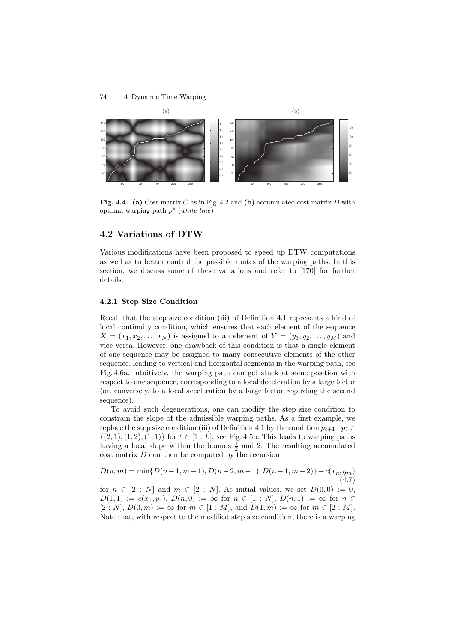

**Fig. 4.4. (a)** Cost matrix C as in Fig. 4.2 and **(b)** accumulated cost matrix D with optimal warping path p<sup>∗</sup> (*white line*)

# **4.2 Variations of DTW**

Various modifications have been proposed to speed up DTW computations as well as to better control the possible routes of the warping paths. In this section, we discuss some of these variations and refer to [170] for further details.

#### **4.2.1 Step Size Condition**

Recall that the step size condition (iii) of Definition 4.1 represents a kind of local continuity condition, which ensures that each element of the sequence  $X = (x_1, x_2, \ldots, x_N)$  is assigned to an element of  $Y = (y_1, y_2, \ldots, y_M)$  and vice versa. However, one drawback of this condition is that a single element of one sequence may be assigned to many consecutive elements of the other sequence, leading to vertical and horizontal segments in the warping path, see Fig. 4.6a. Intuitively, the warping path can get stuck at some position with respect to one sequence, corresponding to a local deceleration by a large factor (or, conversely, to a local acceleration by a large factor regarding the second sequence).

To avoid such degenerations, one can modify the step size condition to constrain the slope of the admissible warping paths. As a first example, we replace the step size condition (iii) of Definition 4.1 by the condition  $p_{\ell+1}-p_{\ell} \in$  $\{(2, 1), (1, 2), (1, 1)\}\$ for  $\ell \in [1 : L]$ , see Fig. 4.5b. This leads to warping paths having a local slope within the bounds  $\frac{1}{2}$  and 2. The resulting accumulated  $\cos t$  matrix  $D$  can then be computed by the recursion

$$
D(n, m) = \min\{D(n-1, m-1), D(n-2, m-1), D(n-1, m-2)\} + c(x_n, y_m)
$$
\n(4.7)

for  $n \in [2 : N]$  and  $m \in [2 : N]$ . As initial values, we set  $D(0,0) := 0$ ,  $D(1,1) := c(x_1, y_1), D(n,0) := \infty$  for  $n \in [1:N], D(n,1) := \infty$  for  $n \in$  $[2 : N], D(0,m) := \infty$  for  $m \in [1 : M],$  and  $D(1,m) := \infty$  for  $m \in [2 : M].$ Note that, with respect to the modified step size condition, there is a warping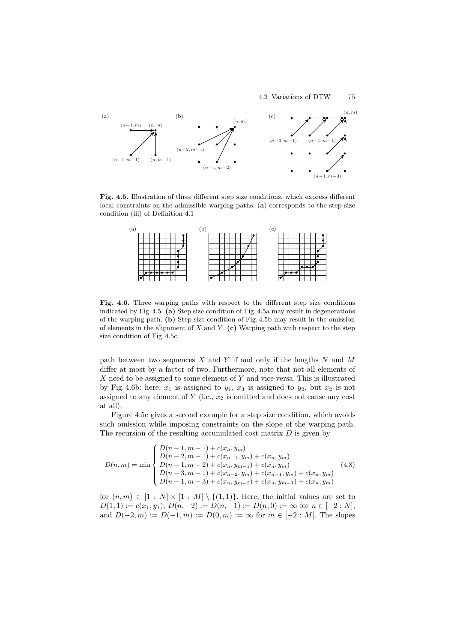

**Fig. 4.5.** Illustration of three different step size conditions, which express different local constraints on the admissible warping paths. (**a**) corresponds to the step size condition (iii) of Definition 4.1



Fig. 4.6. Three warping paths with respect to the different step size conditions indicated by Fig. 4.5. **(a)** Step size condition of Fig. 4.5a may result in degenerations of the warping path. **(b)** Step size condition of Fig. 4.5b may result in the omission of elements in the alignment of  $X$  and  $Y$ . (c) Warping path with respect to the step size condition of Fig. 4.5c

path between two sequences  $X$  and  $Y$  if and only if the lengths  $N$  and  $M$ differ at most by a factor of two. Furthermore, note that not all elements of  $X$  need to be assigned to some element of  $Y$  and vice versa. This is illustrated by Fig. 4.6b: here,  $x_1$  is assigned to  $y_1$ ,  $x_3$  is assigned to  $y_2$ , but  $x_2$  is not assigned to any element of  $Y$  (i.e.,  $x_2$  is omitted and does not cause any cost at all).

Figure 4.5c gives a second example for a step size condition, which avoids such omission while imposing constraints on the slope of the warping path. The recursion of the resulting accumulated cost matrix  $D$  is given by

$$
D(n,m) = \min \begin{cases} D(n-1,m-1) + c(x_n, y_m) \\ D(n-2,m-1) + c(x_{n-1}, y_m) + c(x_n, y_m) \\ D(n-1,m-2) + c(x_n, y_{m-1}) + c(x_n, y_m) \\ D(n-3,m-1) + c(x_{n-2}, y_m) + c(x_{n-1}, y_m) + c(x_n, y_m) \\ D(n-1,m-3) + c(x_n, y_{m-2}) + c(x_n, y_{m-1}) + c(x_n, y_m) \end{cases}
$$
(4.8)

for  $(n, m) \in [1 : N] \times [1 : M] \setminus \{(1, 1)\}.$  Here, the initial values are set to  $D(1, 1) := c(x_1, y_1), D(n, -2) := D(n, -1) := D(n, 0) := \infty$  for  $n \in [-2 : N],$ and  $D(-2, m) := D(-1, m) := D(0, m) := \infty$  for  $m \in [-2 : M]$ . The slopes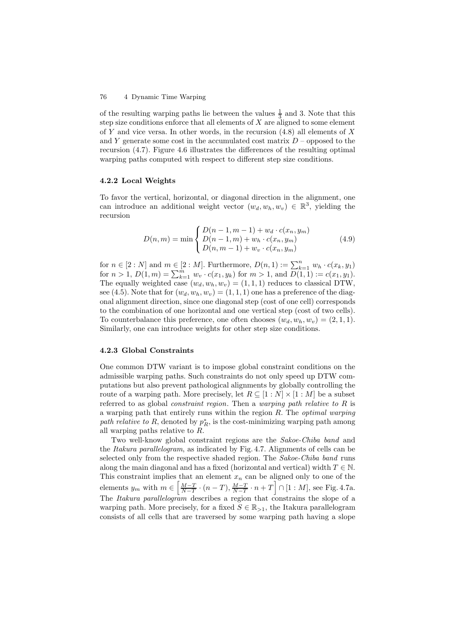of the resulting warping paths lie between the values  $\frac{1}{3}$  and 3. Note that this step size conditions enforce that all elements of  $X$  are aligned to some element of Y and vice versa. In other words, in the recursion  $(4.8)$  all elements of X and Y generate some cost in the accumulated cost matrix  $D$  – opposed to the recursion (4.7). Figure 4.6 illustrates the differences of the resulting optimal warping paths computed with respect to different step size conditions.

### **4.2.2 Local Weights**

To favor the vertical, horizontal, or diagonal direction in the alignment, one can introduce an additional weight vector  $(w_d, w_h, w_v) \in \mathbb{R}^3$ , yielding the recursion

$$
D(n,m) = \min \begin{cases} D(n-1,m-1) + w_d \cdot c(x_n, y_m) \\ D(n-1,m) + w_h \cdot c(x_n, y_m) \\ D(n, m-1) + w_v \cdot c(x_n, y_m) \end{cases}
$$
(4.9)

for  $n \in [2:N]$  and  $m \in [2:M]$ . Furthermore,  $D(n, 1) := \sum_{k=1}^{n} w_h \cdot c(x_k, y_1)$ for  $n > 1$ ,  $D(1,m) = \sum_{k=1}^{m} w_v \cdot c(x_1, y_k)$  for  $m > 1$ , and  $D(1, 1) := c(x_1, y_1)$ . The equally weighted case  $(w_d, w_h, w_v) = (1, 1, 1)$  reduces to classical DTW, see (4.5). Note that for  $(w_d, w_h, w_v) = (1, 1, 1)$  one has a preference of the diagonal alignment direction, since one diagonal step (cost of one cell) corresponds to the combination of one horizontal and one vertical step (cost of two cells). To counterbalance this preference, one often chooses  $(w_d, w_h, w_v) = (2, 1, 1)$ . Similarly, one can introduce weights for other step size conditions.

#### **4.2.3 Global Constraints**

One common DTW variant is to impose global constraint conditions on the admissible warping paths. Such constraints do not only speed up DTW computations but also prevent pathological alignments by globally controlling the route of a warping path. More precisely, let  $R \subseteq [1:N] \times [1:M]$  be a subset referred to as global *constraint region*. Then a *warping path relative to* R is a warping path that entirely runs within the region R. The *optimal warping* path relative to R, denoted by  $p_R^*$ , is the cost-minimizing warping path among all warping paths relative to R.

Two well-know global constraint regions are the *Sakoe-Chiba band* and the *Itakura parallelogram*, as indicated by Fig. 4.7. Alignments of cells can be selected only from the respective shaded region. The *Sakoe-Chiba band* runs along the main diagonal and has a fixed (horizontal and vertical) width  $T \in \mathbb{N}$ . This constraint implies that an element  $x_n$  can be aligned only to one of the elements  $y_m$  with  $m \in \left[\frac{M-T}{N-T} \cdot (n-T), \frac{M-T}{N-T} \cdot n+T\right] \cap [1:M]$ , see Fig. 4.7a. The *Itakura parallelogram* describes a region that constrains the slope of a warping path. More precisely, for a fixed  $S \in \mathbb{R}_{>1}$ , the Itakura parallelogram consists of all cells that are traversed by some warping path having a slope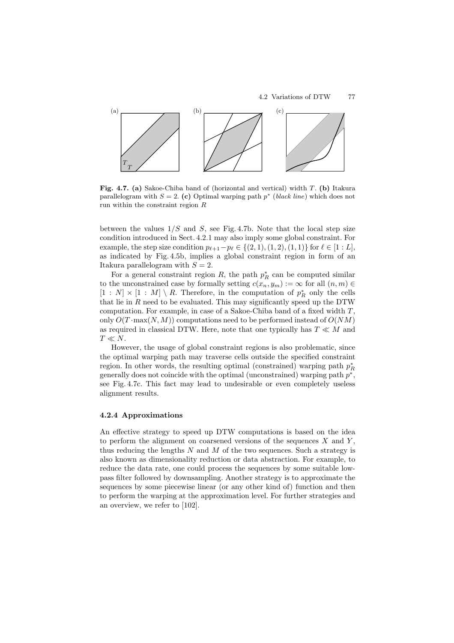

**Fig. 4.7. (a)** Sakoe-Chiba band of (horizontal and vertical) width T. **(b)** Itakura parallelogram with  $S = 2$ . (c) Optimal warping path  $p^*$  (*black line*) which does not run within the constraint region R

between the values  $1/S$  and S, see Fig. 4.7b. Note that the local step size condition introduced in Sect. 4.2.1 may also imply some global constraint. For example, the step size condition  $p_{\ell+1} - p_{\ell} \in \{(2, 1), (1, 2), (1, 1)\}$  for  $\ell \in [1 : L]$ , as indicated by Fig. 4.5b, implies a global constraint region in form of an Itakura parallelogram with  $S = 2$ .

For a general constraint region R, the path  $p_R^*$  can be computed similar to the unconstrained case by formally setting  $c(x_n, y_m) := \infty$  for all  $(n, m) \in$  $[1 : N] \times [1 : M] \setminus R$ . Therefore, in the computation of  $p_R^*$  only the cells that lie in  $R$  need to be evaluated. This may significantly speed up the DTW computation. For example, in case of a Sakoe-Chiba band of a fixed width  $T$ , only  $O(T \cdot \max(N, M))$  computations need to be performed instead of  $O(NM)$ as required in classical DTW. Here, note that one typically has  $T \ll M$  and  $T \ll N$ .

However, the usage of global constraint regions is also problematic, since the optimal warping path may traverse cells outside the specified constraint region. In other words, the resulting optimal (constrained) warping path  $p_R^*$ generally does not coincide with the optimal (unconstrained) warping path  $p^*$ , see Fig. 4.7c. This fact may lead to undesirable or even completely useless alignment results.

### **4.2.4 Approximations**

An effective strategy to speed up DTW computations is based on the idea to perform the alignment on coarsened versions of the sequences  $X$  and  $Y$ , thus reducing the lengths  $N$  and  $M$  of the two sequences. Such a strategy is also known as dimensionality reduction or data abstraction. For example, to reduce the data rate, one could process the sequences by some suitable lowpass filter followed by downsampling. Another strategy is to approximate the sequences by some piecewise linear (or any other kind of) function and then to perform the warping at the approximation level. For further strategies and an overview, we refer to [102].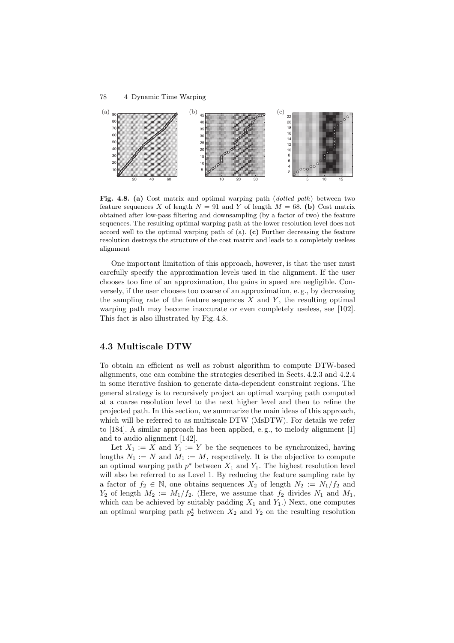

**Fig. 4.8. (a)** Cost matrix and optimal warping path (*dotted path*) between two feature sequences X of length  $N = 91$  and Y of length  $M = 68$ . (b) Cost matrix obtained after low-pass filtering and downsampling (by a factor of two) the feature sequences. The resulting optimal warping path at the lower resolution level does not accord well to the optimal warping path of (a). **(c)** Further decreasing the feature resolution destroys the structure of the cost matrix and leads to a completely useless alignment

One important limitation of this approach, however, is that the user must carefully specify the approximation levels used in the alignment. If the user chooses too fine of an approximation, the gains in speed are negligible. Conversely, if the user chooses too coarse of an approximation, e. g., by decreasing the sampling rate of the feature sequences  $X$  and  $Y$ , the resulting optimal warping path may become inaccurate or even completely useless, see [102]. This fact is also illustrated by Fig. 4.8.

# **4.3 Multiscale DTW**

To obtain an efficient as well as robust algorithm to compute DTW-based alignments, one can combine the strategies described in Sects. 4.2.3 and 4.2.4 in some iterative fashion to generate data-dependent constraint regions. The general strategy is to recursively project an optimal warping path computed at a coarse resolution level to the next higher level and then to refine the projected path. In this section, we summarize the main ideas of this approach, which will be referred to as multiscale DTW (MsDTW). For details we refer to [184]. A similar approach has been applied, e. g., to melody alignment [1] and to audio alignment [142].

Let  $X_1 := X$  and  $Y_1 := Y$  be the sequences to be synchronized, having lengths  $N_1 := N$  and  $M_1 := M$ , respectively. It is the objective to compute an optimal warping path  $p^*$  between  $X_1$  and  $Y_1$ . The highest resolution level will also be referred to as Level 1. By reducing the feature sampling rate by a factor of  $f_2 \in \mathbb{N}$ , one obtains sequences  $X_2$  of length  $N_2 := N_1/f_2$  and  $Y_2$  of length  $M_2 := M_1/f_2$ . (Here, we assume that  $f_2$  divides  $N_1$  and  $M_1$ , which can be achieved by suitably padding  $X_1$  and  $Y_1$ .) Next, one computes an optimal warping path  $p_2^*$  between  $X_2$  and  $Y_2$  on the resulting resolution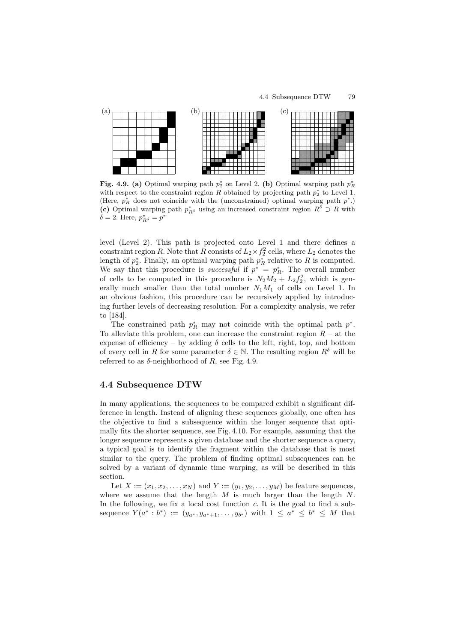

**Fig. 4.9. (a)** Optimal warping path  $p_2^*$  on Level 2. (b) Optimal warping path  $p_R^*$ with respect to the constraint region R obtained by projecting path  $p_2^*$  to Level 1. (Here,  $p_R^*$  does not coincide with the (unconstrained) optimal warping path  $p^*$ .) (c) Optimal warping path  $p_{R\delta}^*$  using an increased constraint region  $R\delta \supset R$  with  $\delta = 2$ . Here,  $p_{R^{\delta}}^* = p^*$ 

level (Level 2). This path is projected onto Level 1 and there defines a constraint region R. Note that R consists of  $L_2 \times f_2^2$  cells, where  $L_2$  denotes the length of  $p_2^*$ . Finally, an optimal warping path  $p_R^*$  relative to R is computed. We say that this procedure is *successful* if  $p^* = p_R^*$ . The overall number of cells to be computed in this procedure is  $N_2M_2 + L_2f_2^2$ , which is generally much smaller than the total number  $N_1M_1$  of cells on Level 1. In an obvious fashion, this procedure can be recursively applied by introducing further levels of decreasing resolution. For a complexity analysis, we refer to [184].

The constrained path  $p_R^*$  may not coincide with the optimal path  $p^*$ . To alleviate this problem, one can increase the constraint region  $R - at$  the expense of efficiency – by adding  $\delta$  cells to the left, right, top, and bottom of every cell in R for some parameter  $\delta \in \mathbb{N}$ . The resulting region  $R^{\delta}$  will be referred to as  $\delta$ -neighborhood of R, see Fig. 4.9.

## **4.4 Subsequence DTW**

In many applications, the sequences to be compared exhibit a significant difference in length. Instead of aligning these sequences globally, one often has the objective to find a subsequence within the longer sequence that optimally fits the shorter sequence, see Fig. 4.10. For example, assuming that the longer sequence represents a given database and the shorter sequence a query, a typical goal is to identify the fragment within the database that is most similar to the query. The problem of finding optimal subsequences can be solved by a variant of dynamic time warping, as will be described in this section.

Let  $X := (x_1, x_2, \ldots, x_N)$  and  $Y := (y_1, y_2, \ldots, y_M)$  be feature sequences, where we assume that the length  $M$  is much larger than the length  $N$ . In the following, we fix a local cost function  $c$ . It is the goal to find a subsequence  $Y(a^* : b^*) := (y_{a^*}, y_{a^*+1}, \ldots, y_{b^*})$  with  $1 \le a^* \le b^* \le M$  that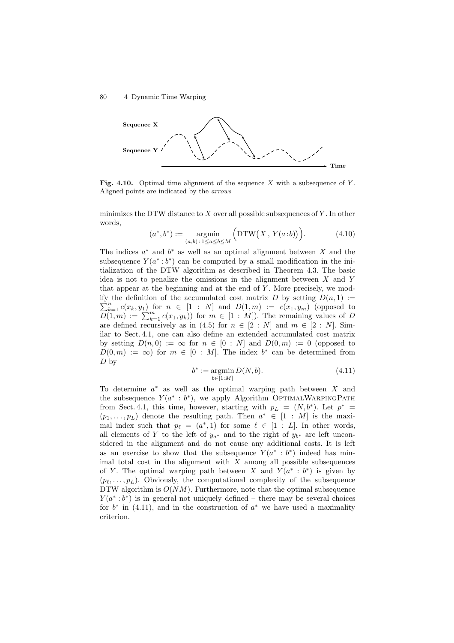

**Fig. 4.10.** Optimal time alignment of the sequence X with a subsequence of Y. Aligned points are indicated by the *arrows*

minimizes the DTW distance to X over all possible subsequences of  $Y$ . In other words,

$$
(a^*,b^*) := \underset{(a,b): 1 \le a \le b \le M}{\operatorname{argmin}} \left( \operatorname{DTW}(X, Y(a:b)) \right). \tag{4.10}
$$

The indices  $a^*$  and  $b^*$  as well as an optimal alignment between X and the subsequence  $Y(a^*:b^*)$  can be computed by a small modification in the initialization of the DTW algorithm as described in Theorem 4.3. The basic idea is not to penalize the omissions in the alignment between X and Y that appear at the beginning and at the end of  $Y$ . More precisely, we modify the definition of the accumulated cost matrix D by setting  $D(n, 1) :=$  $\sum_{k=1}^{n} c(x_k, y_1)$  for  $n \in [1 : N]$  and  $D(1,m) := c(x_1, y_m)$  (opposed to  $D(1,m) := \sum_{k=1}^{m} c(x_1, y_k)$  for  $m \in [1 : M]$ ). The remaining values of D are defined recursively as in (4.5) for  $n \in [2:N]$  and  $m \in [2:N]$ . Similar to Sect. 4.1, one can also define an extended accumulated cost matrix by setting  $D(n,0) := \infty$  for  $n \in [0 : N]$  and  $D(0,m) := 0$  (opposed to  $D(0, m) := \infty$  for  $m \in [0 : M]$ . The index  $b^*$  can be determined from  $D<sub>by</sub>$ 

$$
b^* := \mathop{\rm argmin}_{b \in [1:M]} D(N, b). \tag{4.11}
$$

To determine  $a^*$  as well as the optimal warping path between X and the subsequence  $Y(a^*: b^*)$ , we apply Algorithm OPTIMALWARPINGPATH from Sect. 4.1, this time, however, starting with  $p_L = (N, b^*)$ . Let  $p^* =$  $(p_1,\ldots,p_L)$  denote the resulting path. Then  $a^* \in [1 : M]$  is the maximal index such that  $p_{\ell} = (a^*, 1)$  for some  $\ell \in [1 : L]$ . In other words, all elements of Y to the left of  $y_{a^*}$  and to the right of  $y_{b^*}$  are left unconsidered in the alignment and do not cause any additional costs. It is left as an exercise to show that the subsequence  $Y(a^* : b^*)$  indeed has minimal total cost in the alignment with  $X$  among all possible subsequences of Y. The optimal warping path between X and  $Y(a^* : b^*)$  is given by  $(p_{\ell},\ldots,p_{L})$ . Obviously, the computational complexity of the subsequence DTW algorithm is  $O(NM)$ . Furthermore, note that the optimal subsequence  $Y(a^*: b^*)$  is in general not uniquely defined – there may be several choices for  $b^*$  in (4.11), and in the construction of  $a^*$  we have used a maximality criterion.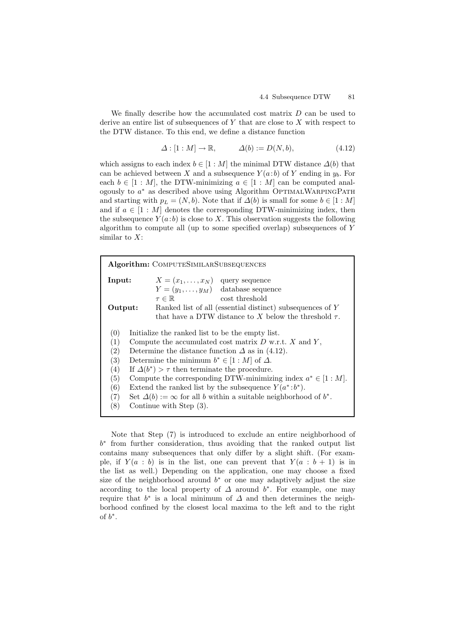We finally describe how the accumulated cost matrix  $D$  can be used to derive an entire list of subsequences of  $Y$  that are close to  $X$  with respect to the DTW distance. To this end, we define a distance function

$$
\Delta : [1 : M] \to \mathbb{R}, \qquad \Delta(b) := D(N, b), \tag{4.12}
$$

which assigns to each index  $b \in [1 : M]$  the minimal DTW distance  $\Delta(b)$  that can be achieved between X and a subsequence  $Y(a:b)$  of Y ending in  $y<sub>b</sub>$ . For each  $b \in [1 : M]$ , the DTW-minimizing  $a \in [1 : M]$  can be computed analogously to  $a^*$  as described above using Algorithm OPTIMALWARPINGPATH and starting with  $p_L = (N, b)$ . Note that if  $\Delta(b)$  is small for some  $b \in [1 : M]$ and if  $a \in [1 : M]$  denotes the corresponding DTW-minimizing index, then the subsequence  $Y(a:b)$  is close to X. This observation suggests the following algorithm to compute all (up to some specified overlap) subsequences of Y similar to X:

| <b>Algorithm:</b> COMPUTESIMILARSUBSEQUENCES            |                                                                               |
|---------------------------------------------------------|-------------------------------------------------------------------------------|
| Input:                                                  | $X = (x_1, \ldots, x_N)$ query sequence                                       |
|                                                         | $Y = (y_1, \ldots, y_M)$ database sequence                                    |
|                                                         | cost threshold<br>$\tau \in \mathbb{R}$                                       |
| Output:                                                 | Ranked list of all (essential distinct) subsequences of Y                     |
|                                                         | that have a DTW distance to X below the threshold $\tau$ .                    |
|                                                         |                                                                               |
| (0)<br>Initialize the ranked list to be the empty list. |                                                                               |
| (1)                                                     | Compute the accumulated cost matrix $D$ w.r.t. $X$ and $Y$ ,                  |
| (2)                                                     | Determine the distance function $\Delta$ as in (4.12).                        |
| (3)                                                     | Determine the minimum $b^* \in [1:M]$ of $\Delta$ .                           |
| (4)                                                     | If $\Delta(b^*) > \tau$ then terminate the procedure.                         |
| (5)                                                     | Compute the corresponding DTW-minimizing index $a^* \in [1:M]$ .              |
| (6)                                                     | Extend the ranked list by the subsequence $Y(a^*:b^*)$ .                      |
| (7)                                                     | Set $\Delta(b) := \infty$ for all b within a suitable neighborhood of $b^*$ . |
| (8)                                                     | Continue with Step $(3)$ .                                                    |

Note that Step (7) is introduced to exclude an entire neighborhood of b<sup>∗</sup> from further consideration, thus avoiding that the ranked output list contains many subsequences that only differ by a slight shift. (For example, if  $Y(a : b)$  is in the list, one can prevent that  $Y(a : b + 1)$  is in the list as well.) Depending on the application, one may choose a fixed size of the neighborhood around  $b^*$  or one may adaptively adjust the size according to the local property of  $\Delta$  around  $b^*$ . For example, one may require that  $b^*$  is a local minimum of  $\Delta$  and then determines the neighborhood confined by the closest local maxima to the left and to the right of  $b^*$ .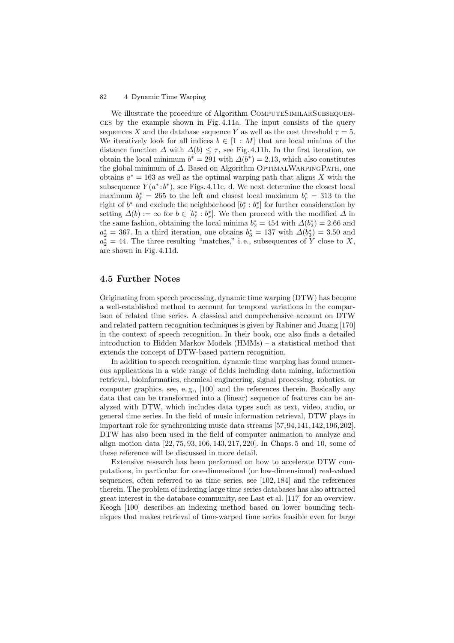We illustrate the procedure of Algorithm COMPUTESIMILARSUBSEQUENces by the example shown in Fig. 4.11a. The input consists of the query sequences X and the database sequence Y as well as the cost threshold  $\tau = 5$ . We iteratively look for all indices  $b \in [1 : M]$  that are local minima of the distance function  $\Delta$  with  $\Delta(b) \leq \tau$ , see Fig. 4.11b. In the first iteration, we obtain the local minimum  $b^* = 291$  with  $\Delta(b^*) = 2.13$ , which also constitutes the global minimum of  $\Delta$ . Based on Algorithm OptimalWarpINGPATH, one obtains  $a^* = 163$  as well as the optimal warping path that aligns X with the subsequence  $Y(a^*:b^*)$ , see Figs. 4.11c, d. We next determine the closest local maximum  $b_{\ell}^* = 265$  to the left and closest local maximum  $b_r^* = 313$  to the right of  $b^*$  and exclude the neighborhood  $[b^*_{\ell}: b^*_{r}]$  for further consideration by setting  $\Delta(b) := \infty$  for  $b \in [b_{\ell}^* : b_r^*]$ . We then proceed with the modified  $\Delta$  in the same fashion, obtaining the local minima  $b_2^* = 454$  with  $\Delta(b_2^*) = 2.66$  and  $a_2^* = 367$ . In a third iteration, one obtains  $b_3^* = 137$  with  $\Delta(b_3^*) = 3.50$  and  $a_2^* = 44$ . The three resulting "matches," i.e., subsequences of Y close to X, are shown in Fig. 4.11d.

### **4.5 Further Notes**

Originating from speech processing, dynamic time warping (DTW) has become a well-established method to account for temporal variations in the comparison of related time series. A classical and comprehensive account on DTW and related pattern recognition techniques is given by Rabiner and Juang [170] in the context of speech recognition. In their book, one also finds a detailed introduction to Hidden Markov Models (HMMs) – a statistical method that extends the concept of DTW-based pattern recognition.

In addition to speech recognition, dynamic time warping has found numerous applications in a wide range of fields including data mining, information retrieval, bioinformatics, chemical engineering, signal processing, robotics, or computer graphics, see, e. g., [100] and the references therein. Basically any data that can be transformed into a (linear) sequence of features can be analyzed with DTW, which includes data types such as text, video, audio, or general time series. In the field of music information retrieval, DTW plays in important role for synchronizing music data streams [57,94,141,142,196,202]. DTW has also been used in the field of computer animation to analyze and align motion data [22, 75, 93, 106, 143, 217, 220]. In Chaps. 5 and 10, some of these reference will be discussed in more detail.

Extensive research has been performed on how to accelerate DTW computations, in particular for one-dimensional (or low-dimensional) real-valued sequences, often referred to as time series, see [102, 184] and the references therein. The problem of indexing large time series databases has also attracted great interest in the database community, see Last et al. [117] for an overview. Keogh [100] describes an indexing method based on lower bounding techniques that makes retrieval of time-warped time series feasible even for large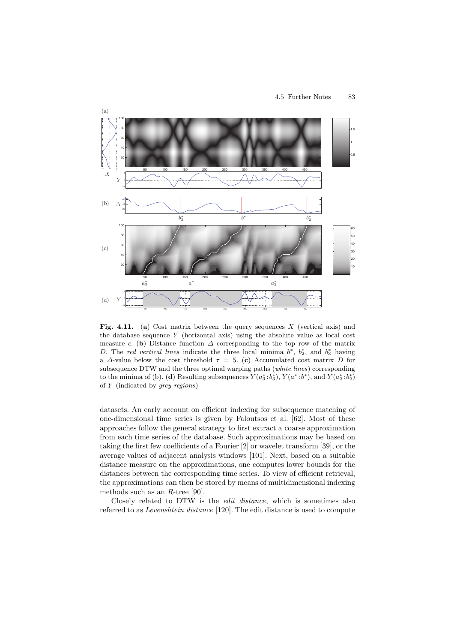

**Fig. 4.11.** (a) Cost matrix between the query sequences X (vertical axis) and the database sequence  $Y$  (horizontal axis) using the absolute value as local cost measure c. (**b**) Distance function  $\Delta$  corresponding to the top row of the matrix D. The *red vertical lines* indicate the three local minima  $b^*$ ,  $b_2^*$ , and  $b_3^*$  having a  $\Delta$ -value below the cost threshold  $\tau = 5$ . (c) Accumulated cost matrix D for subsequence DTW and the three optimal warping paths (*white lines*) corresponding to the minima of (b). (**d**) Resulting subsequences  $Y(a_3^* : b_3^*), Y(a^* : b^*),$  and  $Y(a_2^* : b_2^*)$ of Y (indicated by *grey regions*)

datasets. An early account on efficient indexing for subsequence matching of one-dimensional time series is given by Faloutsos et al. [62]. Most of these approaches follow the general strategy to first extract a coarse approximation from each time series of the database. Such approximations may be based on taking the first few coefficients of a Fourier [2] or wavelet transform [39], or the average values of adjacent analysis windows [101]. Next, based on a suitable distance measure on the approximations, one computes lower bounds for the distances between the corresponding time series. To view of efficient retrieval, the approximations can then be stored by means of multidimensional indexing methods such as an R-tree [90].

Closely related to DTW is the *edit distance*, which is sometimes also referred to as *Levenshtein distance* [120]. The edit distance is used to compute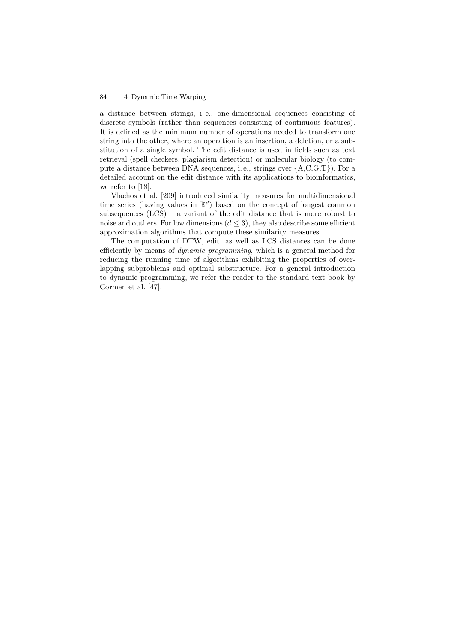a distance between strings, i. e., one-dimensional sequences consisting of discrete symbols (rather than sequences consisting of continuous features). It is defined as the minimum number of operations needed to transform one string into the other, where an operation is an insertion, a deletion, or a substitution of a single symbol. The edit distance is used in fields such as text retrieval (spell checkers, plagiarism detection) or molecular biology (to compute a distance between DNA sequences, i.e., strings over  ${A, C, G, T}$ . For a detailed account on the edit distance with its applications to bioinformatics, we refer to [18].

Vlachos et al. [209] introduced similarity measures for multidimensional time series (having values in  $\mathbb{R}^d$ ) based on the concept of longest common subsequences  $(LCS)$  – a variant of the edit distance that is more robust to noise and outliers. For low dimensions  $(d \leq 3)$ , they also describe some efficient approximation algorithms that compute these similarity measures.

The computation of DTW, edit, as well as LCS distances can be done efficiently by means of *dynamic programming*, which is a general method for reducing the running time of algorithms exhibiting the properties of overlapping subproblems and optimal substructure. For a general introduction to dynamic programming, we refer the reader to the standard text book by Cormen et al. [47].